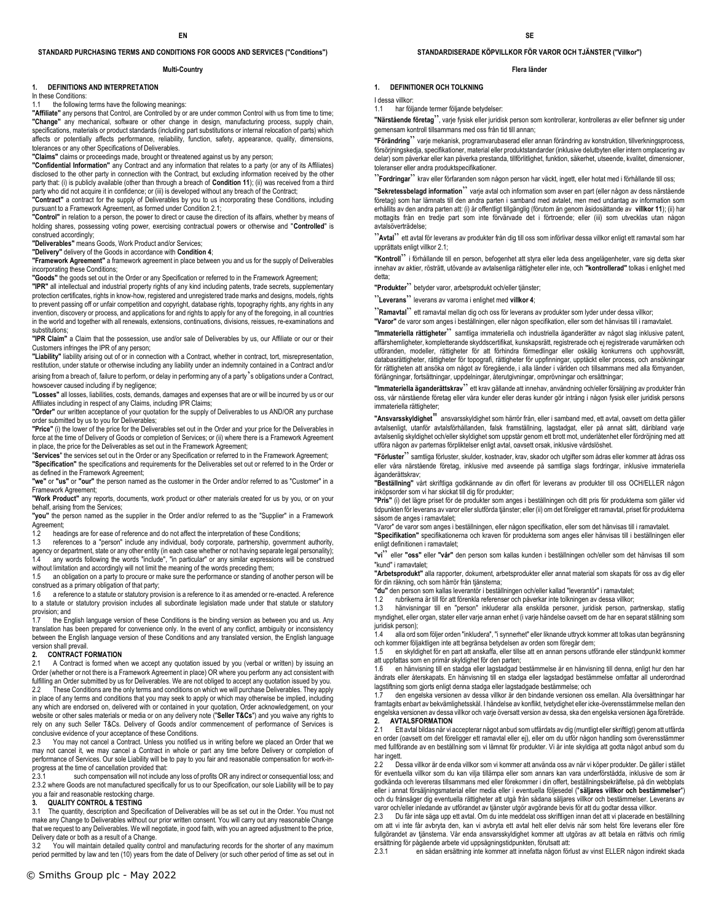## **STANDARD PURCHASING TERMS AND CONDITIONS FOR GOODS AND SERVICES ("Conditions")**

#### **Multi-Country**

## **1. DEFINITIONS AND INTERPRETATION**

In these Conditions:

## the following terms have the following meanings:

**"Affiliate"** any persons that Control, are Controlled by or are under common Control with us from time to time; **"Change"** any mechanical, software or other change in design, manufacturing process, supply chain, specifications, materials or product standards (including part substitutions or internal relocation of parts) which affects or potentially affects performance, reliability, function, safety, appearance, quality, dimensions, tolerances or any other Specifications of Deliverables.

**"Claims"** claims or proceedings made, brought or threatened against us by any person;

**"Confidential Information"** any Contract and any information that relates to a party (or any of its Affiliates) disclosed to the other party in connection with the Contract, but excluding information received by the other party that: (i) is publicly available (other than through a breach of **Condition 11**); (ii) was received from a third party who did not acquire it in confidence; or (iii) is developed without any breach of the Contract;

**"Contract"** a contract for the supply of Deliverables by you to us incorporating these Conditions, including pursuant to a Framework Agreement, as formed under Condition 2.1;

**"Control"** in relation to a person, the power to direct or cause the direction of its affairs, whether by means of holding shares, possessing voting power, exercising contractual powers or otherwise and "**Controlled**" is construed accordingly;

**"Deliverables"** means Goods, Work Product and/or Services;

**"Delivery"** delivery of the Goods in accordance with **Condition 4**;

**"Framework Agreement"** a framework agreement in place between you and us for the supply of Deliverables incorporating these Conditions;

**"Goods"** the goods set out in the Order or any Specification or referred to in the Framework Agreement;

**"IPR"** all intellectual and industrial property rights of any kind including patents, trade secrets, supplementary protection certificates, rights in know-how, registered and unregistered trade marks and designs, models, rights to prevent passing off or unfair competition and copyright, database rights, topography rights, any rights in any invention, discovery or process, and applications for and rights to apply for any of the foregoing, in all countries in the world and together with all renewals, extensions, continuations, divisions, reissues, re-examinations and substitutions:

**"IPR Claim"** a Claim that the possession, use and/or sale of Deliverables by us, our Affiliate or our or their Customers infringes the IPR of any person;

**"Liability"** liability arising out of or in connection with a Contract, whether in contract, tort, misrepresentation, restitution, under statute or otherwise including any liability under an indemnity contained in a Contract and/or

arising from a breach of, failure to perform, or delay in performing any of a party's obligations under a Contract, howsoever caused including if by negligence; **"Losses"** all losses, liabilities, costs, demands, damages and expenses that are or will be incurred by us or our

Affiliates including in respect of any Claims, including IPR Claims;

**"Order"** our written acceptance of your quotation for the supply of Deliverables to us AND/OR any purchase order submitted by us to you for Deliverables;

**"Price"** (i) the lower of the price for the Deliverables set out in the Order and your price for the Deliverables in force at the time of Delivery of Goods or completion of Services; or (ii) where there is a Framework Agreement in place, the price for the Deliverables as set out in the Framework Agreement;

"**Services**" the services set out in the Order or any Specification or referred to in the Framework Agreement; **"Specification"** the specifications and requirements for the Deliverables set out or referred to in the Order or as defined in the Framework Agreement;

**"we"** or **"us"** or **"our"** the person named as the customer in the Order and/or referred to as "Customer" in a Framework Agreement;

**"Work Product"** any reports, documents, work product or other materials created for us by you, or on your behalf, arising from the Services;

**"you"** the person named as the supplier in the Order and/or referred to as the "Supplier" in a Framework Agreement;

1.2 headings are for ease of reference and do not affect the interpretation of these Conditions;

1.3 references to a "person" include any individual, body corporate, partnership, government authority, agency or department, state or any other entity (in each case whether or not having separate legal personality);

1.4 any words following the words "include", "in particular" or any similar expressions will be construed without limitation and accordingly will not limit the meaning of the words preceding them;

1.5 an obligation on a party to procure or make sure the performance or standing of another person will be construed as a primary obligation of that party;

1.6 a reference to a statute or statutory provision is a reference to it as amended or re-enacted. A reference to a statute or statutory provision includes all subordinate legislation made under that statute or statutory provision; and<br>17 the En

the English language version of these Conditions is the binding version as between you and us. Any translation has been prepared for convenience only. In the event of any conflict, ambiguity or inconsistency between the English language version of these Conditions and any translated version, the English language version shall prevail.

# **2. CONTRACT FORMATION**<br>2.1 A Contract is formed wh

A Contract is formed when we accept any quotation issued by you (verbal or written) by issuing an Order (whether or not there is a Framework Agreement in place) OR where you perform any act consistent with fulfilling an Order submitted by us for Deliverables. We are not obliged to accept any quotation issued by you. 2.2 These Conditions are the only terms and conditions on which we will purchase Deliverables. They apply in place of any terms and conditions that you may seek to apply or which may otherwise be implied, including any which are endorsed on, delivered with or contained in your quotation, Order acknowledgement, on your website or other sales materials or media or on any delivery note ("**Seller T&Cs**") and you waive any rights to rely on any such Seller T&Cs. Delivery of Goods and/or commencement of performance of Services is conclusive evidence of your acceptance of these Conditions.

2.3 You may not cancel a Contract. Unless you notified us in writing before we placed an Order that we may not cancel it, we may cancel a Contract in whole or part any time before Delivery or completion of performance of Services. Our sole Liability will be to pay to you fair and reasonable compensation for work-inprogress at the time of cancellation provided that:<br>2.3.1 such compensation will not include

such compensation will not include any loss of profits OR any indirect or consequential loss; and 2.3.2 where Goods are not manufactured specifically for us to our Specification, our sole Liability will be to pay you a fair and reasonable restocking charge.

# **3. QUALITY CONTROL & TESTING**<br>**3.1** The quantity, description and Spec

The quantity, description and Specification of Deliverables will be as set out in the Order. You must not make any Change to Deliverables without our prior written consent. You will carry out any reasonable Change that we request to any Deliverables. We will negotiate, in good faith, with you an agreed adjustment to the price, Delivery date or both as a result of a Change.

3.2 You will maintain detailed quality control and manufacturing records for the shorter of any maximum period permitted by law and ten (10) years from the date of Delivery (or such other period of time as set out in

## **STANDARDISERADE KÖPVILLKOR FÖR VAROR OCH TJÄNSTER ("Villkor")**

#### **Flera länder**

## **1. DEFINITIONER OCH TOLKNING**

I dessa villkor: 1.1 har följande termer följande betydelser:

**"Närstående företag**", varje fysisk eller juridisk person som kontrollerar, kontrolleras av eller befinner sig under gemensam kontroll tillsammans med oss från tid till annan;

**"Förändring**" varje mekanisk, programvarubaserad eller annan förändring av konstruktion, tillverkningsprocess, försörjningskedja, specifikationer, material eller produktstandarder (inklusive delutbyten eller intern omplacering av delar) som påverkar eller kan påverka prestanda, tillförlitlighet, funktion, säkerhet, utseende, kvalitet, dimensioner, toleranser eller andra produktspecifikationer.

"**Fordringar**" krav eller förfaranden som någon person har väckt, ingett, eller hotat med i förhållande till oss;

**"Sekretessbelagd information**" varje avtal och information som avser en part (eller någon av dess närstående företag) som har lämnats till den andra parten i samband med avtalet, men med undantag av information som erhållits av den andra parten att: (i) är offentligt tillgänglig (förutom än genom åsidosättande av **villkor 11**); (ii) har<br>mottagits från en tredje part som inte förvärvade det i förtroende; eller (iii) som utvecklas utan avtalsöverträdelse;

"**Avtal**" ett avtal för leverans av produkter från dig till oss som införlivar dessa villkor enligt ett ramavtal som har upprättats enligt villkor 2.1;

**"Kontroll**" i förhållande till en person, befogenhet att styra eller leda dess angelägenheter, vare sig detta sker innehav av aktier, rösträtt, utövande av avtalsenliga rättigheter eller inte, och **"kontrollerad"** tolkas i enlighet med detta;

**"Produkter**" betyder varor, arbetsprodukt och/eller tjänster;

"**Leverans**" leverans av varorna i enlighet med **villkor 4**;

"**Ramavtal**" ett ramavtal mellan dig och oss för leverans av produkter som lyder under dessa villkor;

**"Varor"** de varor som anges i beställningen, eller någon specifikation, eller som det hänvisas till i ramavtalet. **"Immateriella rättigheter**" samtliga immateriella och industriella äganderätter av något slag inklusive patent,

affärshemligheter, kompletterande skyddscertifikat, kunskapsrätt, registrerade och ej registrerade varumärken och utföranden, modeller, rättigheter för att förhindra förmedlingar eller oskälig konkurrens och upphovsrätt, databasrättigheter, rättigheter för topografi, rättigheter för uppfinningar, upptäckt eller process, och ansökningar för rättigheten att ansöka om något av föregående, i alla länder i världen och tillsammans med alla förnyanden, förlängningar, fortsättningar, uppdelningar, återutgivningar, omprövningar och ersättningar;

**"Immateriella äganderättskrav**" ett krav gällande att innehav, användning och/eller försäljning av produkter från oss, vår närstående företag eller våra kunder eller deras kunder gör intrång i någon fysisk eller juridisk persons immateriella rättigheter;

**"Ansvarsskyldighet**" ansvarsskyldighet som härrör från, eller i samband med, ett avtal, oavsett om detta gäller avtalsenligt, utanför avtalsförhållanden, falsk framställning, lagstadgat, eller på annat sätt, däribland varje avtalsenlig skyldighet och/eller skyldighet som uppstår genom ett brott mot, underlåtenhet eller fördröjning med att utföra någon av parternas förpliktelser enligt avtal, oavsett orsak, inklusive vårdslöshet.

**"Förluster**" samtliga förluster, skulder, kostnader, krav, skador och utgifter som ådras eller kommer att ådras oss eller våra närstående företag, inklusive med avseende på samtliga slags fordringar, inklusive immateriella äganderättskrav;

**"Beställning"** vårt skriftliga godkännande av din offert för leverans av produkter till oss OCH/ELLER någon inköpsorder som vi har skickat till dig för produkter;

**"Pris"** (i) det lägre priset för de produkter som anges i beställningen och ditt pris för produkterna som gäller vid tidpunkten för leverans av varor eller slutförda tjänster; eller (ii) om det föreligger ett ramavtal, priset för produkterna såsom de anges i ramavtalet;

"Varor" de varor som anges i beställningen, eller någon specifikation, eller som det hänvisas till i ramavtalet. **"Specifikation"** specifikationerna och kraven för produkterna som anges eller hänvisas till i beställningen eller

enligt definitionen i ramavtalet;

**"vi**" eller **"oss"** eller **"vår"** den person som kallas kunden i beställningen och/eller som det hänvisas till som "kund" i ramavtalet;

**"Arbetsprodukt"** alla rapporter, dokument, arbetsprodukter eller annat material som skapats för oss av dig eller för din räkning, och som härrör från tjänsterna;

**"du"** den person som kallas leverantör i beställningen och/eller kallad "leverantör" i ramavtalet;

1.2 rubrikerna är till för att förenkla referenser och påverkar inte tolkningen av dessa villkor;<br>1.3 hänvisningar till en "person" inkluderar alla enskilda personer, juridisk person, pa

hänvisningar till en "person" inkluderar alla enskilda personer, juridisk person, partnerskap, statlig myndighet, eller organ, stater eller varje annan enhet (i varje händelse oavsett om de har en separat ställning som juridisk person);

1.4 alla ord som följer orden "inkludera", "i synnerhet" eller liknande uttryck kommer att tolkas utan begränsning och kommer följaktligen inte att begränsa betydelsen av orden som föregår dem;

1.5 en skyldighet för en part att anskaffa, eller tillse att en annan persons utförande eller ståndpunkt kommer att uppfattas som en primär skyldighet för den parten;

1.6 en hänvisning till en stadga eller lagstadgad bestämmelse är en hänvisning till denna, enligt hur den har ändrats eller återskapats. En hänvisning till en stadga eller lagstadgad bestämmelse omfattar all underordnad lagstiftning som gjorts enligt denna stadga eller lagstadgade bestämmelse; och

1.7 den engelska versionen av dessa villkor är den bindande versionen oss emellan. Alla översättningar har framtagits enbart av bekvämlighetsskäl. I händelse av konflikt, tvetydighet eller icke-överensstämmelse mellan den engelska versionen av dessa villkor och varje översatt version av dessa, ska den engelska versionen äga företräde. **2. AVTALSFORMATION**

2.1 Ett avtal bildas när vi accepterar något anbud som utfärdats av dig (muntligt eller skriftligt) genom att utfärda en order (oavsett om det föreligger ett ramavtal eller ej), eller om du utför någon handling som överensstämmer med fullförande av en beställning som vi lämnat för produkter. Vi är inte skyldiga att godta något anbud som du har ingett.

2.2 Dessa villkor är de enda villkor som vi kommer att använda oss av när vi köper produkter. De gäller i stället för eventuella villkor som du kan vilja tillämpa eller som annars kan vara underförstådda, inklusive de som är godkända och levereras tillsammans med eller förekommer i din offert, beställningsbekräftelse, på din webbplats eller i annat försäljningsmaterial eller media eller i eventuella följesedel ("**säljares villkor och bestämmelser**") och du frånsäger dig eventuella rättigheter att utgå från sådana säljares villkor och bestämmelser. Leverans av varor och/eller inledande av utförandet av tjänster utgör avgörande bevis för att du godtar dessa villkor.<br>23. Du får inte säga upp ett avtal. Om du inte meddelat oss skriftligen innan det att vi placerade en l

2.3 Du får inte säga upp ett avtal. Om du inte meddelat oss skriftligen innan det att vi placerade en beställning om att vi inte får avbryta den, kan vi avbryta ett avtal helt eller delvis när som helst före leverans eller före fullgörandet av tjänsterna. Vår enda ansvarsskyldighet kommer att utgöras av att betala en rättvis och rimlig ersättning för pågående arbete vid uppsägningstidpunkten, förutsatt att:

2.3.1 en sådan ersättning inte kommer att innefatta någon förlust av vinst ELLER någon indirekt skada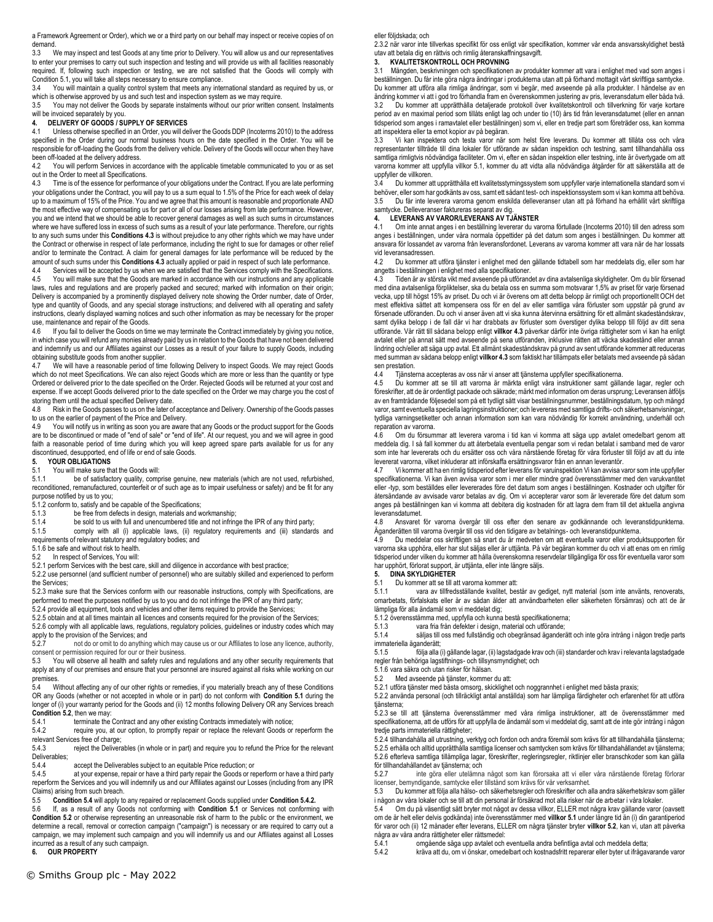a Framework Agreement or Order), which we or a third party on our behalf may inspect or receive copies of on demand.

3.3 We may inspect and test Goods at any time prior to Delivery. You will allow us and our representatives to enter your premises to carry out such inspection and testing and will provide us with all facilities reasonably required. If, following such inspection or testing, we are not satisfied that the Goods will comply with Condition 5.1, you will take all steps necessary to ensure compliance.

3.4 You will maintain a quality control system that meets any international standard as required by us, or which is otherwise approved by us and such test and inspection system as we may require.

3.5 You may not deliver the Goods by separate instalments without our prior written consent. Instalments will be invoiced separately by you.

# **4. DELIVERY OF GOODS / SUPPLY OF SERVICES**

Unless otherwise specified in an Order, you will deliver the Goods DDP (Incoterms 2010) to the address specified in the Order during our normal business hours on the date specified in the Order. You will be responsible for off-loading the Goods from the delivery vehicle. Delivery of the Goods will occur when they have been off-loaded at the delivery address.<br>4.2 You will perform Services in acc

You will perform Services in accordance with the applicable timetable communicated to you or as set out in the Order to meet all Specifications.

4.3 Time is of the essence for performance of your obligations under the Contract. If you are late performing your obligations under the Contract, you will pay to us a sum equal to 1.5% of the Price for each week of delay up to a maximum of 15% of the Price. You and we agree that this amount is reasonable and proportionate AND the most effective way of compensating us for part or all of our losses arising from late performance. However, you and we intend that we should be able to recover general damages as well as such sums in circumstances where we have suffered loss in excess of such sums as a result of your late performance. Therefore, our rights to any such sums under this **Conditions 4.3** is without prejudice to any other rights which we may have under the Contract or otherwise in respect of late performance, including the right to sue for damages or other relief and/or to terminate the Contract. A claim for general damages for late performance will be reduced by the amount of such sums under this **Conditions 4.3** actually applied or paid in respect of such late performance.

4.4 Services will be accepted by us when we are satisfied that the Services comply with the Specifications.<br>4.5 You will make sure that the Goods are marked in accordance with our instructions and any applicable You will make sure that the Goods are marked in accordance with our instructions and any applicable laws, rules and regulations and are properly packed and secured; marked with information on their origin; Delivery is accompanied by a prominently displayed delivery note showing the Order number, date of Order, type and quantity of Goods, and any special storage instructions; and delivered with all operating and safety

instructions, clearly displayed warning notices and such other information as may be necessary for the proper use, maintenance and repair of the Goods.<br>4.6 If you fail to deliver the Goods on tin

If you fail to deliver the Goods on time we may terminate the Contract immediately by giving you notice, in which case you will refund any monies already paid by us in relation to the Goods that have not been delivered and indemnify us and our Affiliates against our Losses as a result of your failure to supply Goods, including obtaining substitute goods from another supplier.

We will have a reasonable period of time following Delivery to inspect Goods. We may reject Goods which do not meet Specifications. We can also reject Goods which are more or less than the quantity or type Ordered or delivered prior to the date specified on the Order. Rejected Goods will be returned at your cost and expense. If we accept Goods delivered prior to the date specified on the Order we may charge you the cost of storing them until the actual specified Delivery date.

4.8 Risk in the Goods passes to us on the later of acceptance and Delivery. Ownership of the Goods passes to us on the earlier of payment of the Price and Delivery.<br>4.9 You will notify us in writing as soon you are aware

You will notify us in writing as soon you are aware that any Goods or the product support for the Goods are to be discontinued or made of "end of sale" or "end of life". At our request, you and we will agree in good faith a reasonable period of time during which you will keep agreed spare parts available for us for any discontinued, desupported, end of life or end of sale Goods.

## **5. YOUR OBLIGATIONS**

#### 5.1 You will make sure that the Goods will:

5.1.1 be of satisfactory quality, comprise genuine, new materials (which are not used, refurbished, reconditioned, remanufactured, counterfeit or of such age as to impair usefulness or safety) and be fit for any purpose notified by us to you;

5.1.2 conform to, satisfy and be capable of the Specifications;<br>5.1.3 be free from defects in design. materials and w

be free from defects in design, materials and workmanship;

5.1.4 be sold to us with full and unencumbered title and not infringe the IPR of any third party;<br>5.1.5 comply with all (i) applicable laws. (ii) requlatory requirements and (iii) standard

comply with all (i) applicable laws, (ii) regulatory requirements and (iii) standards and

requirements of relevant statutory and regulatory bodies; and

5.1.6 be safe and without risk to health.<br>5.2 In respect of Services You will:

In respect of Services, You will:

5.2.1 perform Services with the best care, skill and diligence in accordance with best practice;

5.2.2 use personnel (and sufficient number of personnel) who are suitably skilled and experienced to perform the Services;

5.2.3 make sure that the Services conform with our reasonable instructions, comply with Specifications, are performed to meet the purposes notified by us to you and do not infringe the IPR of any third party;

5.2.4 provide all equipment, tools and vehicles and other items required to provide the Services;

5.2.5 obtain and at all times maintain all licences and consents required for the provision of the Services; 5.2.6 comply with all applicable laws, regulations, regulatory policies, guidelines or industry codes which may

apply to the provision of the Services; and<br>5.2.7 post do or omit to do anything

not do or omit to do anything which may cause us or our Affiliates to lose any licence, authority, consent or permission required for our or their business.<br>5.3 You will observe all health and safety rules and

You will observe all health and safety rules and regulations and any other security requirements that apply at any of our premises and ensure that your personnel are insured against all risks while working on our premises.

5.4 Without affecting any of our other rights or remedies, if you materially breach any of these Conditions OR any Goods (whether or not accepted in whole or in part) do not conform with **Condition 5.1** during the longer of (i) your warranty period for the Goods and (ii) 12 months following Delivery OR any Services breach **Condition 5.2**, then we may:<br>5.4.1 terminate the

5.4.1 terminate the Contract and any other existing Contracts immediately with notice;<br>5.4.2 require vou, at our option, to promptly repair or replace the relevant Goods or

require you, at our option, to promptly repair or replace the relevant Goods or reperform the relevant Services free of charge;

5.4.3 reject the Deliverables (in whole or in part) and require you to refund the Price for the relevant Deliverables;<br>5.4.4

5.4.4 accept the Deliverables subject to an equitable Price reduction; or 5.4.5 at your expense, repair or have a third party repair the Goods or re

at your expense, repair or have a third party repair the Goods or reperform or have a third party reperform the Services and you will indemnify us and our Affiliates against our Losses (including from any IPR Claims) arising from such breach.<br>5.5 Condition 5.4 will annly to

5.5 **Condition 5.4** will apply to any repaired or replacement Goods supplied under **Condition 5.4.2.**

5.6 If, as a result of any Goods not conforming with **Condition 5.1** or Services not conforming with **Condition 5.2** or otherwise representing an unreasonable risk of harm to the public or the environment, we determine a recall, removal or correction campaign ("campaign") is necessary or are required to carry out a campaign, we may implement such campaign and you will indemnify us and our Affiliates against all Losses incurred as a result of any such campaign.

**6. OUR PROPERTY**

eller följdskada; och

2.3.2 när varor inte tillverkas specifikt för oss enligt vår specifikation, kommer vår enda ansvarsskyldighet bestå utav att betala dig en rättvis och rimlig återanskaffningsavgift.

#### **3. KVALITETSKONTROLL OCH PROVNING**

Mängden, beskrivningen och specifikationen av produkter kommer att vara i enlighet med vad som anges i beställningen. Du får inte göra några ändringar i produkterna utan att på förhand mottagit vårt skriftliga samtycke. Du kommer att utföra alla rimliga ändringar, som vi begär, med avseende på alla produkter. I händelse av en ändring kommer vi att i god tro förhandla fram en överenskommen justering av pris, leveransdatum eller båda två. 3.2 Du kommer att upprätthålla detaljerade protokoll över kvalitetskontroll och tillverkning för varje kortare period av en maximal period som tillåts enligt lag och under tio (10) års tid från leveransdatumet (eller en annan tidsperiod som anges i ramavtalet eller beställningen) som vi, eller en tredje part som företräder oss, kan komma att inspektera eller ta emot kopior av på begäran.

3.3 Vi kan inspektera och testa varor när som helst före leverans. Du kommer att tillåta oss och våra representanter tillträde till dina lokaler för utförande av sådan inspektion och testning, samt tillhandahålla oss samtliga rimligtvis nödvändiga faciliteter. Om vi, efter en sådan inspektion eller testning, inte är övertygade om att varorna kommer att uppfylla villkor 5.1, kommer du att vidta alla nödvändiga åtgärder för att säkerställa att de uppfyller de villkoren.<br>34 Du kommer a

3.4 Du kommer att upprätthålla ett kvalitetsstyrningssystem som uppfyller varje internationella standard som vi behöver, eller som har godkänts av oss, samt ett sådant test- och inspektionssystem som vi kan komma att behöva. 3.5 Du får inte leverera varorna genom enskilda delleveranser utan att på förhand ha erhållit vårt skriftliga samtycke. Delleveranser faktureras separat av dig.

## **4. LEVERANS AV VAROR/LEVERANS AV TJÄNSTER**

4.1 Om inte annat anges i en beställning levererar du varorna förtullade (Incoterms 2010) till den adress som anges i beställningen, under våra normala öppettider på det datum som anges i beställningen. Du kommer att ansvara för lossandet av varorna från leveransfordonet. Leverans av varorna kommer att vara när de har lossats vid leveransadressen.<br>4.2 Du kommer at

4.2 Du kommer att utföra tjänster i enlighet med den gällande tidtabell som har meddelats dig, eller som har angetts i beställningen i enlighet med alla specifikationer.

4.3 Tiden är av största vikt med avseende på utförandet av dina avtalsenliga skyldigheter. Om du blir försenad med dina avtalsenliga förpliktelser, ska du betala oss en summa som motsvarar 1,5% av priset för varje försenad vecka, upp till högst 15% av priset. Du och vi är överens om att detta belopp är rimligt och proportionellt OCH det mest effektiva sättet att kompensera oss för en del av eller samtliga våra förluster som uppstår på grund av försenade utföranden. Du och vi anser även att vi ska kunna återvinna ersättning för ett allmänt skadeståndskrav, samt dylika belopp i de fall där vi har drabbats av förluster som överstiger dylika belopp till följd av ditt sena utförande. Vår rätt till sådana belopp enligt **villkor 4.3** påverkar därför inte övriga rättigheter som vi kan ha enligt avtalet eller på annat sätt med avseende på sena utföranden, inklusive rätten att väcka skadestånd eller annan<br>lindring och/eller att säga upp avtal. Ett allmänt skadeståndskrav på grund av sent utförande kommer att reduce med summan av sådana belopp enligt **villkor 4.3** som faktiskt har tillämpats eller betalats med avseende på sådan sen prestation.

4.4 Tjänsterna accepteras av oss när vi anser att tjänsterna uppfyller specifikationerna.

Du kommer att se till att varorna är märkta enligt våra instruktioner samt gällande lagar, regler och föreskrifter, att de är ordentligt packade och säkrade; märkt med information om deras ursprung; Leveransen åtföljs av en framträdande följesedel som på ett tydligt sätt visar beställningsnummer, beställningsdatum, typ och mängd varor, samt eventuella speciella lagringsinstruktioner; och levereras med samtliga drifts- och säkerhetsanvisningar, tydliga varningsetiketter och annan information som kan vara nödvändig för korrekt användning, underhåll och reparation av varorna.

4.6 Om du försummar att leverera varorna i tid kan vi komma att säga upp avtalet omedelbart genom att meddela dig. I så fall kommer du att återbetala eventuella pengar som vi redan betalat i samband med de varor som inte har levererats och du ersätter oss och våra närstående företag för våra förluster till följd av att du inte levererat varorna, vilket inkluderar att införskaffa ersättningsvaror från en annan leverantör.

4.7 Vi kommer att ha en rimlig tidsperiod efter leverans för varuinspektion Vi kan avvisa varor som inte uppfyller specifikationerna. Vi kan även avvisa varor som i mer eller mindre grad överensstämmer med den varukvantitet eller -typ, som beställdes eller levererades före det datum som anges i beställningen. Kostnader och utgifter för återsändande av avvisade varor betalas av dig. Om vi accepterar varor som är levererade före det datum som anges på beställningen kan vi komma att debitera dig kostnaden för att lagra dem fram till det aktuella angivna leveransdatumet.

4.8 Ansvaret för varorna övergår till oss efter den senare av godkännande och leveranstidpunkterna. Äganderätten till varorna övergår till oss vid den tidigare av betalnings- och leveranstidpunkterna.

4.9 Du meddelar oss skriftligen så snart du är medveten om att eventuella varor eller produktsupporten för varorna ska upphöra, eller har slut säljas eller är uttjänta. På vår begäran kommer du och vi att enas om en rimlig tidsperiod under vilken du kommer att hålla överenskomna reservdelar tillgängliga för oss för eventuella varor som har upphört, förlorat support, är uttjänta, eller inte längre säljs.<br>5. DINA SKYLDIGHETER

# **5. DINA SKYLDIGHETER**<br>5.1 Du kommer att se till a

5.1 Du kommer att se till att varorna kommer att:

5.1.1 vara av tillfredsställande kvalitet, består av gediget, nytt material (som inte använts, renoverats, omarbetats, förfalskats eller är av sådan ålder att användbarheten eller säkerheten försämras) och att de är lämpliga för alla ändamål som vi meddelat dig;

5.1.2 överensstämma med, uppfylla och kunna bestå specifikationerna;

vara fria från defekter i design, material och utförande;

5.1.4 säljas till oss med fullständig och obegränsad äganderätt och inte göra intrång i någon tredje parts immateriella äganderätt;<br>5.1.5 följa alla

5.1.5 följa alla (i) gällande lagar, (ii) lagstadgade krav och (iii) standarder och krav i relevanta lagstadgade regler från behöriga lagstiftnings- och tillsynsmyndighet; och

5.1.6 vara säkra och utan risker för hälsan.

5.2 Med avseende på tjänster, kommer du att:

5.2.1 utföra tjänster med bästa omsorg, skicklighet och noggrannhet i enlighet med bästa praxis; 5.2.2 använda personal (och tillräckligt antal anställda) som har lämpliga färdigheter och erfarenhet för att utföra tiänsterna:

5.2.3 se till att tjänsterna överensstämmer med våra rimliga instruktioner, att de överensstämmer med specifikationerna, att de utförs för att uppfylla de ändamål som vi meddelat dig, samt att de inte gör intrång i någon tredje parts immateriella rättigheter;

5.2.4 tillhandahålla all utrustning, verktyg och fordon och andra föremål som krävs för att tillhandahålla tjänsterna; 5.2.5 erhålla och alltid upprätthålla samtliga licenser och samtycken som krävs för tillhandahållandet av tjänsterna; 5.2.6 efterleva samtliga tillämpliga lagar, föreskrifter, regleringsregler, riktlinjer eller branschkoder som kan gälla

för tillhandahållandet av tjänsterna; och inte göra eller utelämna något som kan förorsaka att vi eller våra närstående företag förlorar licenser, bemyndigande, samtycke eller tillstånd som krävs för vår verksamhet.<br>5.3 Du kommer att följa alla hälso- och säkerhetsregler och föreskrifter och a

5.3 Du kommer att följa alla hälso- och säkerhetsregler och föreskrifter och alla andra säkerhetskrav som gäller i någon av våra lokaler och se till att din personal är försäkrad mot alla risker när de arbetar i våra lokaler.

5.4 Om du på väsentligt sätt bryter mot något av dessa villkor, ELLER mot några krav gällande varor (oavsett om de är helt eller delvis godkända) inte överensstämmer med **villkor 5.1** under längre tid än (i) din garantiperiod för varor och (ii) 12 månader efter leverans, ELLER om några tjänster bryter **villkor 5.2**, kan vi, utan att påverka några av våra andra rättigheter eller rättsmedel:

5.4.1 omgående säga upp avtalet och eventuella andra befintliga avtal och meddela detta;<br>5.4.2 kräva att du om vi önskar omedelbart och kostnadsfritt renarerar eller byter ut ifrågav

5.4.2 kräva att du, om vi önskar, omedelbart och kostnadsfritt reparerar eller byter ut ifrågavarande varor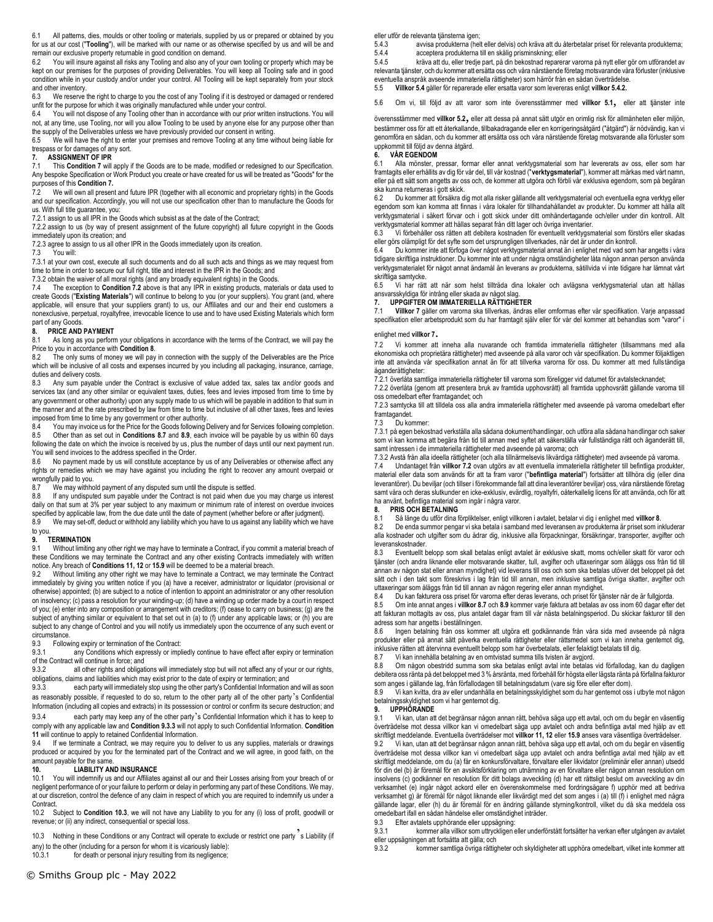6.1 All patterns, dies, moulds or other tooling or materials, supplied by us or prepared or obtained by you for us at our cost ("**Tooling**"), will be marked with our name or as otherwise specified by us and will be and remain our exclusive property returnable in good condition on demand.<br>6.2 You will insure against all risks any Tooling and also any of you

You will insure against all risks any Tooling and also any of your own tooling or property which may be kept on our premises for the purposes of providing Deliverables. You will keep all Tooling safe and in good condition while in your custody and/or under your control. All Tooling will be kept separately from your stock and other inventory.

6.3 We reserve the right to charge to you the cost of any Tooling if it is destroyed or damaged or rendered unfit for the purpose for which it was originally manufactured while under your control.<br>6.4 You will not dispose of any Tooling other than in accordance with our prior writ

You will not dispose of any Tooling other than in accordance with our prior written instructions. You will not, at any time, use Tooling, nor will you allow Tooling to be used by anyone else for any purpose other than the supply of the Deliverables unless we have previously provided our consent in writing.

6.5 We will have the right to enter your premises and remove Tooling at any time without being liable for trespass or for damages of any sort.<br>7. **ASSIGNMENT OF IPR** 

# **7. ASSIGNMENT OF IPR**<br>**7.1** This **Condition 7** will

7.1 This **Condition 7** will apply if the Goods are to be made, modified or redesigned to our Specification. Any bespoke Specification or Work Product you create or have created for us will be treated as "Goods" for the purposes of this **Condition 7.**

 $7.2$  We will own all present and future IPR (together with all economic and proprietary rights) in the Goods and our specification. Accordingly, you will not use our specification other than to manufacture the Goods for us. With full title guarantee, you:

7.2.1 assign to us all IPR in the Goods which subsist as at the date of the Contract;

7.2.2 assign to us (by way of present assignment of the future copyright) all future copyright in the Goods immediately upon its creation; and

7.2.3 agree to assign to us all other IPR in the Goods immediately upon its creation.

7.3 You will:

7.3.1 at your own cost, execute all such documents and do all such acts and things as we may request from time to time in order to secure our full right, title and interest in the IPR in the Goods; and

7.3.2 obtain the waiver of all moral rights (and any broadly equivalent rights) in the Goods.

7.4 The exception to **Condition 7.2** above is that any IPR in existing products, materials or data used to create Goods ("**Existing Materials**") will continue to belong to you (or your suppliers). You grant (and, where<br>applicable, will ensure that your suppliers grant) to us, our Affiliates and our and their end customers a<br>non part of any Goods.

#### **8. PRICE AND PAYMENT**

8.1 As long as you perform your obligations in accordance with the terms of the Contract, we will pay the Price to you in accordance with **Condition 8**.

The only sums of money we will pay in connection with the supply of the Deliverables are the Price which will be inclusive of all costs and expenses incurred by you including all packaging, insurance, carriage, duties and delivery costs.

8.3 Any sum payable under the Contract is exclusive of value added tax, sales tax and/or goods and services tax (and any other similar or equivalent taxes, duties, fees and levies imposed from time to time by any government or other authority) upon any supply made to us which will be payable in addition to that sum in the manner and at the rate prescribed by law from time to time but inclusive of all other taxes, fees and levies imposed from time to time by any government or other authority.<br>8.4 You may invoice us for the Price for the Goods following I

You may invoice us for the Price for the Goods following Delivery and for Services following completion. 8.5 Other than as set out in **Conditions 8.7** and **8.9**, each invoice will be payable by us within 60 days following the date on which the invoice is received by us, plus the number of days until our next payment run. You will send invoices to the address specified in the Order.

8.6 No payment made by us will constitute acceptance by us of any Deliverables or otherwise affect any rights or remedies which we may have against you including the right to recover any amount overpaid or wrongfully paid to you.<br>8.7 We may withhout

We may withhold payment of any disputed sum until the dispute is settled.

8.8 If any undisputed sum payable under the Contract is not paid when due you may charge us interest daily on that sum at 3% per year subject to any maximum or minimum rate of interest on overdue invoices specified by applicable law, from the due date until the date of payment (whether before or after judgment).

8.9 We may set-off, deduct or withhold any liability which you have to us against any liability which we have to you.

#### **9. TERMINATION**

9.1 Without limiting any other right we may have to terminate a Contract, if you commit a material breach of these Conditions we may terminate the Contract and any other existing Contracts immediately with written notice. Any breach of **Conditions 11, 12** or **15.9** will be deemed to be a material breach.<br>9.2 Without limiting any other right we may have to terminate a Contract we may te

Without limiting any other right we may have to terminate a Contract, we may terminate the Contract immediately by giving you written notice if you (a) have a receiver, administrator or liquidator (provisional or otherwise) appointed; (b) are subject to a notice of intention to appoint an administrator or any other resolution on insolvency; (c) pass a resolution for your winding-up; (d) have a winding up order made by a court in respect of you; (e) enter into any composition or arrangement with creditors; (f) cease to carry on business; (g) are the subject of anything similar or equivalent to that set out in (a) to (f) under any applicable laws; or (h) you are subject to any change of Control and you will notify us immediately upon the occurrence of any such event or circumstance.<br>9.3 Follow

9.3 Following expiry or termination of the Contract:<br>9.3.1 any Conditions which expressly or implement

any Conditions which expressly or impliedly continue to have effect after expiry or termination of the Contract will continue in force; and<br>9.3.2 all other rights and obligat

all other rights and obligations will immediately stop but will not affect any of your or our rights, obligations, claims and liabilities which may exist prior to the date of expiry or termination; and

9.3.3 each party will immediately stop using the other party's Confidential Information and will as soon as reasonably possible, if requested to do so, return to the other party all of the other party's Confidential Information (including all copies and extracts) in its possession or control or confirm its secure destruction; and

9.3.4 each party may keep any of the other party's Confidential Information which it has to keep to comply with any applicable law and **Condition 9.3.3** will not apply to such Confidential Information. **Condition 11** will continue to apply to retained Confidential Information.

9.4 If we terminate a Contract, we may require you to deliver to us any supplies, materials or drawings produced or acquired by you for the terminated part of the Contract and we will agree, in good faith, on the amount payable for the same.

# **10. LIABILITY AND INSURANCE**<br>10.1 You will indemnify us and our Affiliates

You will indemnify us and our Affiliates against all our and their Losses arising from your breach of or negligent performance of or your failure to perform or delay in performing any part of these Conditions. We may, at our discretion, control the defence of any claim in respect of which you are required to indemnify us under a Contract.

10.2 Subject to **Condition 10.3**, we will not have any Liability to you for any (i) loss of profit, goodwill or revenue; or (ii) any indirect, consequential or special loss.

10.3 Nothing in these Conditions or any Contract will operate to exclude or restrict one party s Liability (if any) to the other (including for a person for whom it is vicariously liable):<br>10.3.1 for death or personal iniury resulting from its negligence:

for death or personal injury resulting from its negligence;

eller utför de relevanta tjänsterna igen;<br>543 avvisa produkterna (hel

5.4.3 avvisa produkterna (helt eller delvis) och kräva att du återbetalar priset för relevanta produkterna;<br>5.4.4 acceptera produkterna till en skälig prisminskning: eller 5.4.4 acceptera produkterna till en skälig prisminskning; eller<br>5.4.5 kräva att du eller tredie part på din bekostnad reparera

5.4.5 kräva att du, eller tredje part, på din bekostnad reparerar varorna på nytt eller gör om utförandet av relevanta tjänster, och du kommer att ersätta oss och våra närstående företag motsvarande våra förluster (inklusive eventuella anspråk avseende immateriella rättigheter) som härrör från en sådan överträdelse.

5.5 **Villkor 5.4** gäller för reparerade eller ersatta varor som levereras enligt **villkor 5.4.2.**

5.6 Om vi, till följd av att varor som inte överensstämmer med **villkor 5.1**, eller att tjänster inte

överensstämmer med **villkor 5.2**, eller att dessa på annat sätt utgör en orimlig risk för allmänheten eller miljön, bestämmer oss för att ett återkallande, tillbakadragande eller en korrigeringsåtgärd ("åtgärd") är nödvändig, kan vi genomföra en sådan, och du kommer att ersätta oss och våra närstående företag motsvarande alla förluster som uppkommit till följd av denna åtgärd.

# **6. VÅR EGENDOM**

6.1 Alla mönster, pressar, formar eller annat verktygsmaterial som har levererats av oss, eller som har framtagits eller erhållits av dig för vår del, till vår kostnad ("**verktygsmaterial**"), kommer att märkas med vårt namn, eller på ett sätt som angetts av oss och, de kommer att utgöra och förbli vår exklusiva egendom, som på begäran ska kunna returneras i gott skick.

6.2 Du kommer att försäkra dig mot alla risker gällande allt verktygsmaterial och eventuella egna verktyg eller egendom som kan komma att finnas i våra lokaler för tillhandahållandet av produkter. Du kommer att hålla allt verktygsmaterial i säkert förvar och i gott skick under ditt omhändertagande och/eller under din kontroll. Allt verktygsmaterial kommer att hållas separat från ditt lager och övriga inventarier.

6.3 Vi förbehåller oss rätten att debitera kostnaden för eventuellt verktygsmaterial som förstörs eller skadas eller görs olämpligt för det syfte som det ursprungligen tillverkades, när det är under din kontroll.

6.4 Du kommer inte att förfoga över något verktygsmaterial annat än i enlighet med vad som har angetts i våra tidigare skriftliga instruktioner. Du kommer inte att under några omständigheter låta någon annan person använda verktygsmaterialet för något annat ändamål än leverans av produkterna, såtillvida vi inte tidigare har lämnat vårt skriftliga samtycke.<br>6.5 Vi har rätt

6.5 Vi har rätt att när som helst tillträda dina lokaler och avlägsna verktygsmaterial utan att hållas ansvarsskyldiga för intrång eller skada av något slag. **7. UPPGIFTER OM IMMATERIELLA RÄTTIGHETER**

7.1 **Villkor 7** gäller om varorna ska tillverkas, ändras eller omformas efter vår specifikation. Varje anpassad specifikation eller arbetsprodukt som du har framtagit själv eller för vår del kommer att behandlas som "varor" i

## enlighet med **villkor 7**.

7.2 Vi kommer att inneha alla nuvarande och framtida immateriella rättigheter (tillsammans med alla ekonomiska och proprietära rättigheter) med avseende på alla varor och vår specifikation. Du kommer följaktligen inte att använda vår specifikation annat än för att tillverka varorna för oss. Du kommer att med fullständiga äganderättigheter:

7.2.1 överlåta samtliga immateriella rättigheter till varorna som föreligger vid datumet för avtalstecknandet; 7.2.2 överlåta (genom att presentera bruk av framtida upphovsrätt) all framtida upphovsrätt gällande varorna till oss omedelbart efter framtagandet; och

7.2.3 samtycka till att tilldela oss alla andra immateriella rättigheter med avseende på varorna omedelbart efter framtagandet.

#### 7.3 Du kommer:

7.3.1 på egen bekostnad verkställa alla sådana dokument/handlingar, och utföra alla sådana handlingar och saker som vi kan komma att begära från tid till annan med syftet att säkerställa vår fullständiga rätt och äganderätt till, samt intressen i de immateriella rättigheter med avseende på varorna; och

7.3.2 Avstå från alla ideella rättigheter (och alla tillnärmelsevis likvärdiga rättigheter) med avseende på varorna.

7.4 Undantaget från **villkor 7.2** ovan utgörs av att eventuella immateriella rättigheter till befintliga produkter, material eller data som används för att ta fram varor ("**befintliga material**") fortsätter att tillhöra dig (eller dina leverantörer). Du beviljar (och tillser i förekommande fall att dina leverantörer beviljar) oss, våra närstående företag samt våra och deras slutkunder en icke-exklusiv, evärdlig, royaltyfri, oåterkallelig licens för att använda, och för att ha använt, befintliga material som ingår i några varor.<br>8. PRIS OCH BETALNING

#### **8. PRIS OCH BETALNING**

8.1 Så länge du utför dina förpliktelser, enligt villkoren i avtalet, betalar vi dig i enlighet med **villkor 8**.

8.2 De enda summor pengar vi ska betala i samband med leveransen av produkterna är priset som inkluderar alla kostnader och utgifter som du ådrar dig, inklusive alla förpackningar, försäkringar, transporter, avgifter och leveranskostnader.<br>8.3. Eventuellt l

8.3 Eventuellt belopp som skall betalas enligt avtalet är exklusive skatt, moms och/eller skatt för varor och tjänster (och andra liknande eller motsvarande skatter, tull, avgifter och uttaxeringar som åläggs oss från tid till annan av någon stat eller annan myndighet) vid leverans till oss och som ska betalas utöver det beloppet på det sätt och i den takt som föreskrivs i lag från tid till annan, men inklusive samtliga övriga skatter, avgifter och uttaxeringar som åläggs från tid till annan av någon regering eller annan myndighet.

Du kan fakturera oss priset för varorna efter deras leverans, och priset för tjänster när de är fullgjorda.

8.5 Om inte annat anges i **villkor 8.7** och **8.9** kommer varje faktura att betalas av oss inom 60 dagar efter det att fakturan mottagits av oss, plus antalet dagar fram till vår nästa betalningsperiod. Du skickar fakturor till den adress som har angetts i beställningen.

8.6 Ingen betalning från oss kommer att utgöra ett godkännande från våra sida med avseende på några produkter eller på annat sätt påverka eventuella rättigheter eller rättsmedel som vi kan inneha gentemot dig, inklusive rätten att återvinna eventuellt belopp som har överbetalats, eller felaktigt betalats till dig.<br>8.7 Vi kan innehålla betalning av en omtvistad summa tills tvisten är avgiord.

Vi kan innehålla betalning av en omtvistad summa tills tvisten är avgjord.

8.8 Om någon obestridd summa som ska betalas enligt avtal inte betalas vid förfallodag, kan du dagligen debitera oss ränta på det beloppet med 3 % årsränta, med förbehåll för högsta eller lägsta ränta på förfallna fakturor som anges i gällande lag, från förfallodagen till betalningsdatum (vare sig före eller efter dom).

8.9 Vi kan kvitta, dra av eller undanhålla en betalningsskyldighet som du har gentemot oss i utbyte mot någon betalningsskyldighet som vi har gentemot dig.<br>9 UPPHÖRANDE

# **9. UPPHÖRANDE**<br>9.1 Vi kan utan att

9.1 Vi kan, utan att det begränsar någon annan rätt, behöva säga upp ett avtal, och om du begår en väsentlig överträdelse mot dessa villkor kan vi omedelbart säga upp avtalet och andra befintliga avtal med hjälp av ett skriftligt meddelande. Eventuella överträdelser mot **villkor 11, 12** eller **15.9** anses vara väsentliga överträdelser.

9.2 Vi kan, utan att det begränsar någon annan rätt, behöva säga upp ett avtal, och om du begår en väsentlig överträdelse mot dessa villkor kan vi omedelbart säga upp avtalet och andra befintliga avtal med hjälp av ett skriftligt meddelande, om du (a) får en konkursförvaltare, förvaltare eller likvidator (preliminär eller annan) utsedd för din del (b) är föremål för en avsiktsförklaring om utnämning av en förvaltare eller någon annan resolution om insolvens (c) godkänner en resolution för ditt bolags avveckling (d) har ett rättsligt beslut om avveckling av din verksamhet (e) ingår något ackord eller en överenskommelse med fordringsägare f) upphör med att bedriva verksamhet g) är föremål för något liknande eller likvärdigt med det som anges i (a) till (f) i enlighet med några gällande lagar, eller (h) du är föremål för en ändring gällande styrning/kontroll, vilket du då ska meddela oss omedelbart ifall en sådan händelse eller omständighet inträder.

9.3 Efter avtalets upphörande eller uppsägning:<br>9.3.1 kommer alla villkor som uttryckligen

9.3.1 kommer alla villkor som uttryckligen eller underförstått fortsätter ha verkan efter utgången av avtalet eller uppsägningen att fortsätta att gälla; och

9.3.2 kommer samtliga övriga rättigheter och skyldigheter att upphöra omedelbart, vilket inte kommer att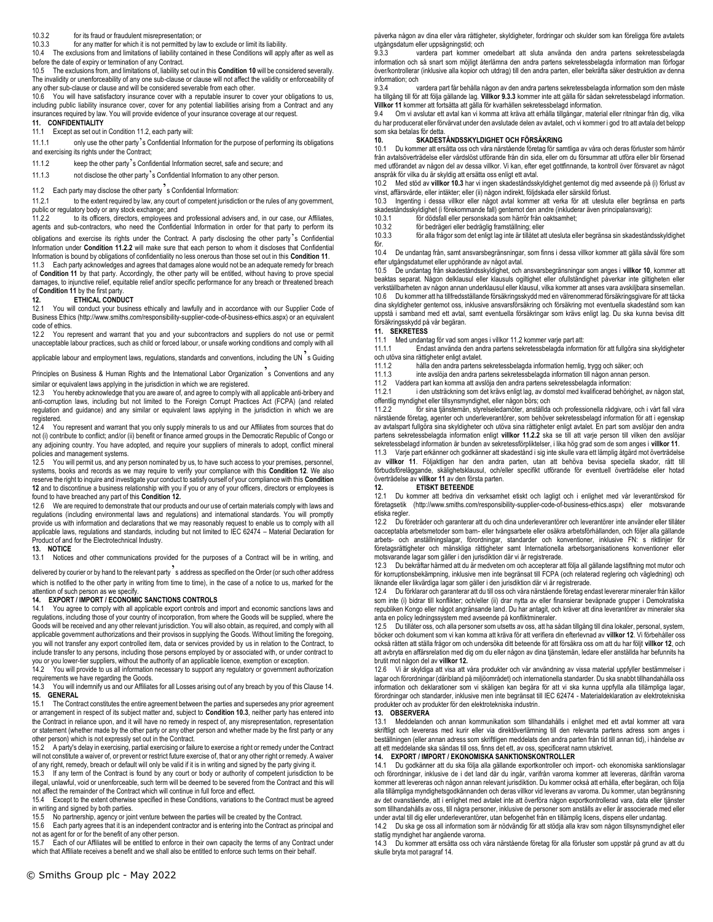#### 10.3.2 for its fraud or fraudulent misrepresentation; or

10.3.3 for any matter for which it is not permitted by law to exclude or limit its liability.

10.4 The exclusions from and limitations of liability contained in these Conditions will apply after as well as before the date of expiry or termination of any Contract.

10.5 The exclusions from, and limitations of, liability set out in this **Condition 10** will be considered severally. The invalidity or unenforceability of any one sub-clause or clause will not affect the validity or enforceability of any other sub-clause or clause and will be considered severable from each other.

10.6 You will have satisfactory insurance cover with a reputable insurer to cover your obligations to us, including public liability insurance cover, cover for any potential liabilities arising from a Contract and any insurances required by law. You will provide evidence of your insurance coverage at our request.

## **11. CONFIDENTIALITY**

## 11.1 Except as set out in Condition 11.2, each party will:

11.1.1 only use the other party's Confidential Information for the purpose of performing its obligations and exercising its rights under the Contract;

11.1.2 keep the other party's Confidential Information secret, safe and secure; and

11.1.3 not disclose the other party's Confidential Information to any other person.

11.2 Each party may disclose the other party<sup>3</sup>s Confidential Information:<br>11.2.1 to the extent required by law, any court of competent iurisdict

to the extent required by law, any court of competent jurisdiction or the rules of any government, public or regulatory body or any stock exchange; and<br>11.2.2 to its officers, directors, employees an

to its officers, directors, employees and professional advisers and, in our case, our Affiliates, agents and sub-contractors, who need the Confidential Information in order for that party to perform its obligations and exercise its rights under the Contract. A party disclosing the other party's Confidential Information under **Condition 11.2.2** will make sure that each person to whom it discloses that Confidential Information is bound by obligations of confidentiality no less onerous than those set out in this **Condition 11**.

11.3 Each party acknowledges and agrees that damages alone would not be an adequate remedy for breach of **Condition 11** by that party. Accordingly, the other party will be entitled, without having to prove special damages, to injunctive relief, equitable relief and/or specific performance for any breach or threatened breach of **Condition 11** by the first party<br>**12.** ETHICAL CONDI

#### **12. ETHICAL CONDUCT**

12.1 You will conduct your business ethically and lawfully and in accordance with our Supplier Code of Business Ethics (http://www.smiths.com/responsibility-supplier-code-of-business-ethics.aspx) or an equivalent code of ethics.

12.2 You represent and warrant that you and your subcontractors and suppliers do not use or permit unacceptable labour practices, such as child or forced labour, or unsafe working conditions and comply with all

applicable labour and employment laws, regulations, standards and conventions, including the UN<sup>2</sup>s Guiding

Principles on Business & Human Rights and the International Labor Organization<sup>7</sup>s Conventions and any similar or equivalent laws applying in the jurisdiction in which we are registered.

12.3 You hereby acknowledge that you are aware of, and agree to comply with all applicable anti-bribery and anti-corruption laws, including but not limited to the Foreign Corrupt Practices Act (FCPA) (and related regulation and guidance) and any similar or equivalent laws applying in the jurisdiction in which we are registered.

12.4 You represent and warrant that you only supply minerals to us and our Affiliates from sources that do not (i) contribute to conflict; and/or (ii) benefit or finance armed groups in the Democratic Republic of Congo or any adjoining country. You have adopted, and require your suppliers of minerals to adopt, conflict mineral policies and management systems.

12.5 You will permit us, and any person nominated by us, to have such access to your premises, personnel, systems, books and records as we may require to verify your compliance with this **Condition 12**. We also reserve the right to inquire and investigate your conduct to satisfy ourself of your compliance with this **Condition 12** and to discontinue a business relationship with you if you or any of your officers, directors or employees is found to have breached any part of this **Condition 12.** 

12.6 We are required to demonstrate that our products and our use of certain materials comply with laws and regulations (including environmental laws and regulations) and international standards. You will promptly provide us with information and declarations that we may reasonably request to enable us to comply with all applicable laws, regulations and standards, including but not limited to IEC 62474 – Material Declaration for Product of and for the Electrotechnical Industry.

## **13. NOTICE**

13.1 Notices and other communications provided for the purposes of a Contract will be in writing, and

delivered by courier or by hand to the relevant party's address as specified on the Order (or such other address which is notified to the other party in writing from time to time), in the case of a notice to us, marked for the attention of such person as we specify.

# **14. EXPORT / IMPORT / ECONOMIC SANCTIONS CONTROLS**

You agree to comply with all applicable export controls and import and economic sanctions laws and regulations, including those of your country of incorporation, from where the Goods will be supplied, where the Goods will be received and any other relevant jurisdiction. You will also obtain, as required, and comply with all applicable government authorizations and their provisos in supplying the Goods. Without limiting the foregoing, you will not transfer any export controlled item, data or services provided by us in relation to the Contract, to include transfer to any persons, including those persons employed by or associated with, or under contract to you or you lower-tier suppliers, without the authority of an applicable licence, exemption or exception.<br>14.2 You will provide to us all information necessary to support any regulatory or government auth

You will provide to us all information necessary to support any regulatory or government authorization requirements we have regarding the Goods.

14.3 You will indemnify us and our Affiliates for all Losses arising out of any breach by you of this Clause 14. **15. GENERAL**

15.1 The Contract constitutes the entire agreement between the parties and supersedes any prior agreement or arrangement in respect of its subject matter and, subject to **Condition 10.3**, neither party has entered into the Contract in reliance upon, and it will have no remedy in respect of, any misrepresentation, representation or statement (whether made by the other party or any other person and whether made by the first party or any other person) which is not expressly set out in the Contract.<br>15.2 A party's delay in exercising partial exercising or fail

15.2 A party's delay in exercising, partial exercising or failure to exercise a right or remedy under the Contract will not constitute a waiver of, or prevent or restrict future exercise of, that or any other right or remedy. A waiver of any right, remedy, breach or default will only be valid if it is in writing and signed by the party giving it.

15.3 If any term of the Contract is found by any court or body or authority of competent jurisdiction to be illegal, unlawful, void or unenforceable, such term will be deemed to be severed from the Contract and this will not affect the remainder of the Contract which will continue in full force and effect.

15.4 Except to the extent otherwise specified in these Conditions, variations to the Contract must be agreed in writing and signed by both parties.

15.5 No partnership, agency or joint venture between the parties will be created by the Contract.

15.6 Each party agrees that it is an independent contractor and is entering into the Contract as principal and not as agent for or for the benefit of any other person.

15.7 Each of our Affiliates will be entitled to enforce in their own capacity the terms of any Contract under which that Affiliate receives a benefit and we shall also be entitled to enforce such terms on their behalf

påverka någon av dina eller våra rättigheter, skyldigheter, fordringar och skulder som kan föreligga före avtalets utgångsdatum eller uppsägningstid; och

9.3.3 vardera part kommer omedelbart att sluta använda den andra partens sekretessbelagda information och så snart som möjligt återlämna den andra partens sekretessbelagda information man förfogar över/kontrollerar (inklusive alla kopior och utdrag) till den andra parten, eller bekräfta säker destruktion av denna information; och

vardera part får behålla någon av den andra partens sekretessbelagda information som den måste ha tillgång till för att följa gällande lag. **Villkor 9.3.3** kommer inte att gälla för sådan sekretessbelagd information. **Villkor 11** kommer att fortsätta att gälla för kvarhållen sekretessbelagd information.

Om vi avslutar ett avtal kan vi komma att kräva att erhålla tillgångar, material eller ritningar från dig, vilka du har producerat eller förvärvat under den avslutade delen av avtalet, och vi kommer i god tro att avtala det belopp som ska betalas för detta

# **10. SKADESTÅNDSSKYLDIGHET OCH FÖRSÄKRING**

10.1 Du kommer att ersätta oss och våra närstående företag för samtliga av våra och deras förluster som härrör från avtalsöverträdelse eller vårdslöst utförande från din sida, eller om du försummar att utföra eller blir försenad med utförandet av någon del av dessa villkor. Vi kan, efter eget gottfinnande, ta kontroll över försvaret av något anspråk för vilka du är skyldig att ersätta oss enligt ett avtal.

10.2 Med stöd av **villkor 10.3** har vi ingen skadeståndsskyldighet gentemot dig med avseende på (i) förlust av vinst, affärsvärde, eller intäkter; eller (ii) någon indirekt, följdskada eller särskild förlust.

10.3 Ingenting i dessa villkor eller något avtal kommer att verka för att utesluta eller begränsa en parts skadeståndsskyldighet (i förekommande fall) gentemot den andre (inkluderar även principalansvarig):<br>10.3.1 för dödsfall eller personskada som härrör från oaktsamhet:

10.3.1 för dödsfall eller personskada som härrör från oaktsamhet;<br>10.3.2 för bedrägeri eller bedräglig framställning: eller

10.3.2 för bedrägeri eller bedräglig framställning; eller

10.3.3 för alla frågor som det enligt lag inte är tillåtet att utesluta eller begränsa sin skadeståndsskyldighet för.

10.4 De undantag från, samt ansvarsbegränsningar, som finns i dessa villkor kommer att gälla såväl före som efter utgångsdatumet eller upphörande av något avtal.

10.5 De undantag från skadeståndsskyldighet, och ansvarsbegränsningar som anges i **villkor 10**, kommer att beaktas separat. Någon delklausul eller klausuls ogiltighet eller ofullständighet påverkar inte giltigheten eller verkställbarheten av någon annan underklausul eller klausul, vilka kommer att anses vara avskiljbara sinsemellan. 10.6 Du kommer att ha tillfredsställande försäkringsskydd med en välrenommerad försäkringsgivare för att täcka dina skyldigheter gentemot oss, inklusive ansvarsförsäkring och försäkring mot eventuella skadestånd som kan uppstå i samband med ett avtal, samt eventuella försäkringar som krävs enligt lag. Du ska kunna bevisa ditt försäkringsskydd på vår begäran.

#### **11. SEKRETESS**

11.1 Med undantag för vad som anges i villkor 11.2 kommer varje part att:

11.1.1 Endast använda den andra partens sekretessbelagda information för att fullgöra sina skyldigheter och utöva sina rättigheter enligt avtalet.<br>11.1.2 hålla den andra partens

11.1.2 hålla den andra partens sekretessbelagda information hemlig, trygg och säker; och

11.1.3 inte avslöja den andra partens sekretessbelagda information till någon annan person.

11.2 Vaddera part kan komma att avslöja den andra partens sekretessbelagda information:

11.2.1 i den utsträckning som det krävs enligt lag, av domstol med kvalificerad behörighet, av någon stat, offentlig myndighet eller tillsynsmyndighet, eller någon börs; och

11.2.2 för sina tjänstemän, styrelseledamöter, anställda och professionella rådgivare, och i vårt fall våra närstående företag, agenter och underleverantörer, som behöver sekretessbelagd information för att i egenskap av avtalspart fullgöra sina skyldigheter och utöva sina rättigheter enligt avtalet. En part som avslöjar den andra partens sekretessbelagda information enligt **villkor 11.2.2** ska se till att varje person till vilken den avslöjar sekretessbelagd information är bunden av sekretessförpliktelser, i lika hög grad som de som anges i **villkor 11**.

11.3 Varje part erkänner och godkänner att skadestånd i sig inte skulle vara ett lämplig åtgärd mot överträdelse av **villkor 11**. Följaktligen har den andra parten, utan att behöva bevisa speciella skador, rätt till förbudsföreläggande, skälighetsklausul, och/eller specifikt utförande för eventuell överträdelse eller hotad överträdelse av **villkor 11** av den första parten.

## **12. ETISKT BETEENDE**

12.1 Du kommer att bedriva din verksamhet etiskt och lagligt och i enlighet med vår leverantörskod för företagsetik (http://www.smiths.com/responsibility-supplier-code-of-business-ethics.aspx) eller motsvarande etiska regler.

12.2 Du företräder och garanterar att du och dina underleverantörer och leverantörer inte använder eller tillåter oacceptabla arbetsmetoder som barn- eller tvångsarbete eller osäkra arbetsförhållanden, och följer alla gällande arbets- och anställningslagar, förordningar, standarder och konventioner, inklusive FN: s riktlinjer för företagsrättigheter och mänskliga rättigheter samt Internationella arbetsorganisationens konventioner eller motsvarande lagar som gäller i den jurisdiktion där vi är registrerade.

12.3 Du bekräftar härmed att du är medveten om och accepterar att följa all gällande lagstiftning mot mutor och för korruptionsbekämpning, inklusive men inte begränsat till FCPA (och relaterad reglering och vägledning) och liknande eller likvärdiga lagar som gäller i den jurisdiktion där vi är registrerade.

12.4 Du förklarar och garanterar att du till oss och våra närstående företag endast levererar mineraler från källor som inte (i) bidrar till konflikter; och/eller (ii) drar nytta av eller finansierar beväpnade grupper i Demokratiska republiken Kongo eller något angränsande land. Du har antagit, och kräver att dina leverantörer av mineraler ska anta en policy ledningssystem med avseende på konfliktmineraler.

12.5 Du tillåter oss, och alla personer som utsetts av oss, att ha sådan tillgång till dina lokaler, personal, system, böcker och dokument som vi kan komma att kräva för att verifiera din efterlevnad av **villkor 12**. Vi förbehåller oss också rätten att ställa frågor om och undersöka ditt beteende för att försäkra oss om att du har följt **villkor 12**, och att avbryta en affärsrelation med dig om du eller någon av dina tjänstemän, ledare eller anställda har befunnits ha brutit mot någon del av **villkor 12.** 

12.6 Vi är skyldiga att visa att våra produkter och vår användning av vissa material uppfyller bestämmelser i lagar och förordningar (däribland på miljöområdet) och internationella standarder. Du ska snabbt tillhandahålla oss information och deklarationer som vi skäligen kan begära för att vi ska kunna uppfylla alla tillämpliga lagar, förordningar och standarder, inklusive men inte begränsat till IEC 62474 - Materialdeklaration av elektrotekniska produkter och av produkter för den elektrotekniska industrin.

#### **13. OBSERVERA**

13.1 Meddelanden och annan kommunikation som tillhandahålls i enlighet med ett avtal kommer att vara skriftligt och levereras med kurir eller via direktöverlämning till den relevanta partens adress som anges i beställningen (eller annan adress som skriftligen meddelats den andra parten från tid till annan tid), i händelse av att ett meddelande ska sändas till oss, finns det ett, av oss, specificerat namn utskrivet.

# **14. EXPORT / IMPORT / EKONOMISKA SANKTIONSKONTROLLER**

Du godkänner att du ska följa alla gällande exportkontroller och import- och ekonomiska sanktionslagar och förordningar, inklusive de i det land där du ingår, varifrån varorna kommer att levereras, därifrån varorna kommer att levereras och någon annan relevant jurisdiktion. Du kommer också att erhålla, efter begäran, och följa alla tillämpliga myndighetsgodkännanden och deras villkor vid leverans av varorna. Du kommer, utan begränsning av det ovanstående, att i enlighet med avtalet inte att överföra någon exportkontrollerad vara, data eller tjänster som tillhandahålls av oss, till några personer, inklusive de personer som anställs av eller är associerade med eller under avtal till dig eller underleverantörer, utan befogenhet från en tillämplig licens, dispens eller undantag.

14.2 Du ska ge oss all information som är nödvändig för att stödja alla krav som någon tillsynsmyndighet eller statlig myndighet har angående varorna.

14.3 Du kommer att ersätta oss och våra närstående företag för alla förluster som uppstår på grund av att du skulle bryta mot paragraf 14.